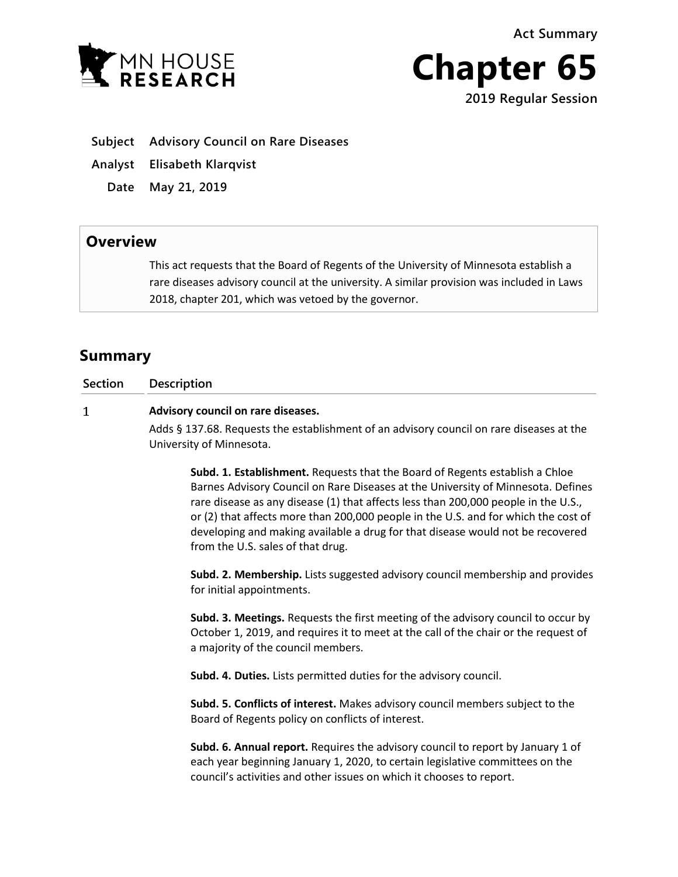**Act Summary**





**Subject Advisory Council on Rare Diseases**

**Analyst Elisabeth Klarqvist**

**Date May 21, 2019**

## **Overview**

This act requests that the Board of Regents of the University of Minnesota establish a rare diseases advisory council at the university. A similar provision was included in Laws 2018, chapter 201, which was vetoed by the governor.

# **Summary**

 $\mathbf{1}$ 

**Section Description**

### **Advisory council on rare diseases.**

Adds § 137.68. Requests the establishment of an advisory council on rare diseases at the University of Minnesota.

**Subd. 1. Establishment.** Requests that the Board of Regents establish a Chloe Barnes Advisory Council on Rare Diseases at the University of Minnesota. Defines rare disease as any disease (1) that affects less than 200,000 people in the U.S., or (2) that affects more than 200,000 people in the U.S. and for which the cost of developing and making available a drug for that disease would not be recovered from the U.S. sales of that drug.

**Subd. 2. Membership.** Lists suggested advisory council membership and provides for initial appointments.

**Subd. 3. Meetings.** Requests the first meeting of the advisory council to occur by October 1, 2019, and requires it to meet at the call of the chair or the request of a majority of the council members.

**Subd. 4. Duties.** Lists permitted duties for the advisory council.

**Subd. 5. Conflicts of interest.** Makes advisory council members subject to the Board of Regents policy on conflicts of interest.

**Subd. 6. Annual report.** Requires the advisory council to report by January 1 of each year beginning January 1, 2020, to certain legislative committees on the council's activities and other issues on which it chooses to report.